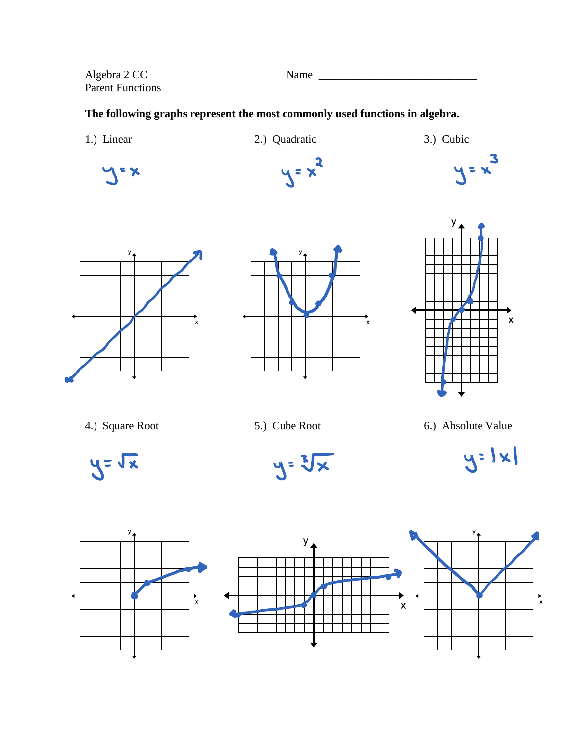Algebra 2 CC Name \_\_\_\_\_\_\_\_\_\_\_\_\_\_\_\_\_\_\_\_\_\_\_\_\_\_\_\_ Parent Functions

## **The following graphs represent the most commonly used functions in algebra.**

1.) Linear 2.) Quadratic 3.) Cubic  $= \frac{3}{x}$  $y = x^2$  $\sqrt{2}$ У  $\mathbf{v}$  $\overline{a}$ 







4.) Square Root 5.) Cube Root 6.) Absolute Value









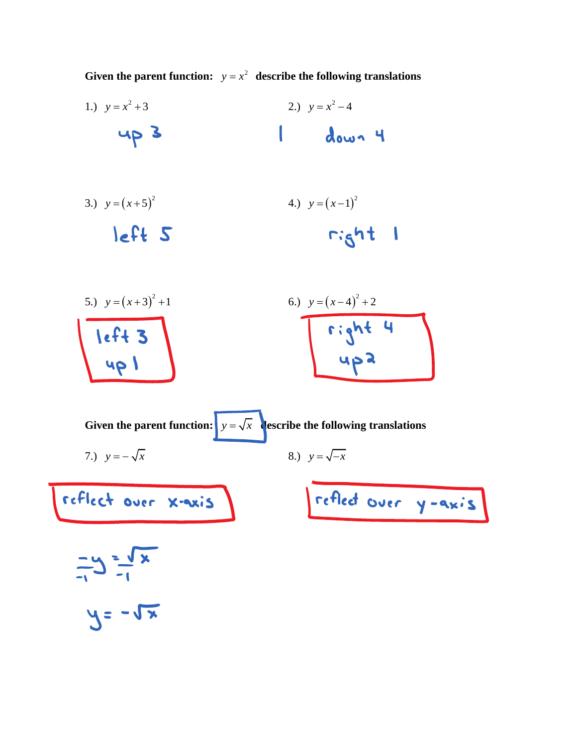Given the parent function:  $y = x^2$  describe the following translations

- 1.)  $y = x^2 + 3$ 2.)  $y = x^2 - 4$ 4p 3  $\mathbf{I}$ down 4
- 3.)  $y = (x+5)^2$ 4.)  $y = (x-1)^2$ left 5  $right$  1
- 5.)  $y = (x+3)^2 + 1$ 6.)  $y = (x-4)^2 + 2$ right 4 left 3

Given the parent function:  $y = \sqrt{x}$  describe the following translations 7.)  $y = -\sqrt{x}$ 8.)  $y = \sqrt{-x}$ reflect over y-axis reflect over x-axis  $\frac{1}{1}$   $\frac{1}{1}$   $\frac{1}{1}$  $y = -\sqrt{x}$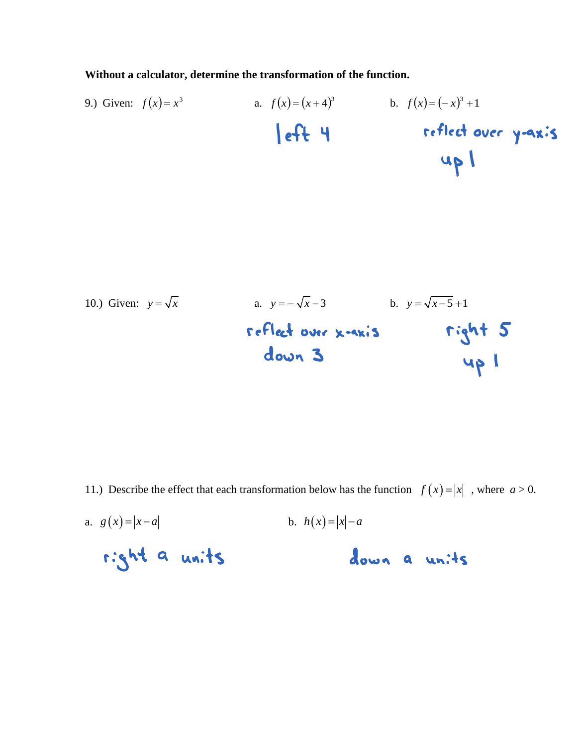**Without a calculator, determine the transformation of the function.**

9.) Given: 
$$
f(x) = x^3
$$
 a.  $f(x) = (x+4)^3$  b.  $f(x) = (-x)^3 + 1$   
\n**eff reflect over y-axis**

10.) Given: 
$$
y = \sqrt{x}
$$
 a.  $y = -\sqrt{x-3}$  b.  $y = \sqrt{x-5}+1$   
7.76  
down 3  
40 cm 3

11.) Describe the effect that each transformation below has the function  $f(x) = |x|$ , where  $a > 0$ .

a.  $g(x) = |x - a|$ b.  $h(x) = |x| - a$ right a units down a units